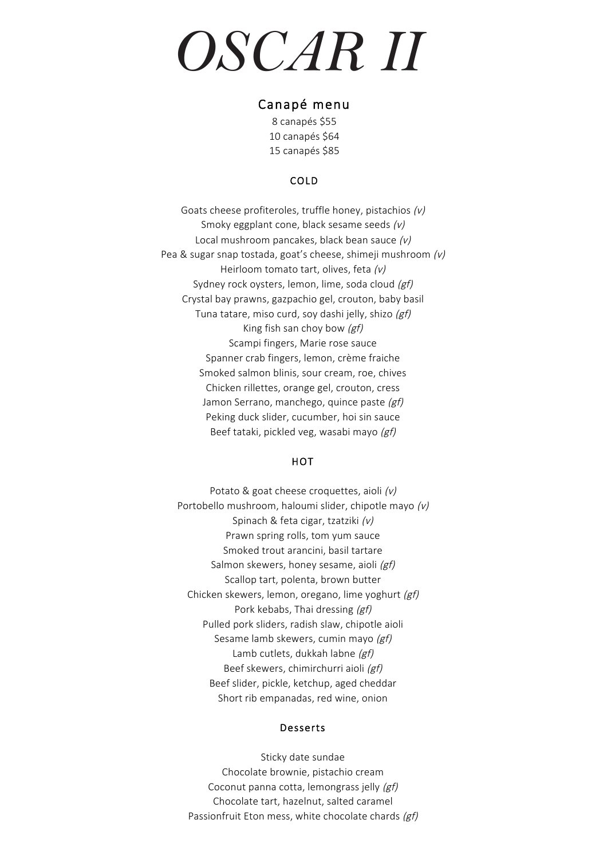# *OSCAR II*

## Canapé menu

8 canapés \$55 10 canapés \$64 15 canapés \$85

## COLD

Goats cheese profiteroles, truffle honey, pistachios (v) Smoky eggplant cone, black sesame seeds (v) Local mushroom pancakes, black bean sauce (v) Pea & sugar snap tostada, goat's cheese, shimeji mushroom (v) Heirloom tomato tart, olives, feta (v) Sydney rock oysters, lemon, lime, soda cloud (gf) Crystal bay prawns, gazpachio gel, crouton, baby basil Tuna tatare, miso curd, soy dashi jelly, shizo (gf) King fish san choy bow  $(gf)$ Scampi fingers, Marie rose sauce Spanner crab fingers, lemon, crème fraiche Smoked salmon blinis, sour cream, roe, chives Chicken rillettes, orange gel, crouton, cress Jamon Serrano, manchego, quince paste (gf) Peking duck slider, cucumber, hoi sin sauce Beef tataki, pickled veg, wasabi mayo (gf)

#### **HOT**

Potato & goat cheese croquettes, aioli (v) Portobello mushroom, haloumi slider, chipotle mayo (v) Spinach & feta cigar, tzatziki (v) Prawn spring rolls, tom yum sauce Smoked trout arancini, basil tartare Salmon skewers, honey sesame, aioli (gf) Scallop tart, polenta, brown butter Chicken skewers, lemon, oregano, lime yoghurt (gf) Pork kebabs, Thai dressing (gf) Pulled pork sliders, radish slaw, chipotle aioli Sesame lamb skewers, cumin mayo (gf) Lamb cutlets, dukkah labne (gf) Beef skewers, chimirchurri aioli (gf) Beef slider, pickle, ketchup, aged cheddar Short rib empanadas, red wine, onion

#### Desserts

Sticky date sundae Chocolate brownie, pistachio cream Coconut panna cotta, lemongrass jelly (gf) Chocolate tart, hazelnut, salted caramel Passionfruit Eton mess, white chocolate chards (gf)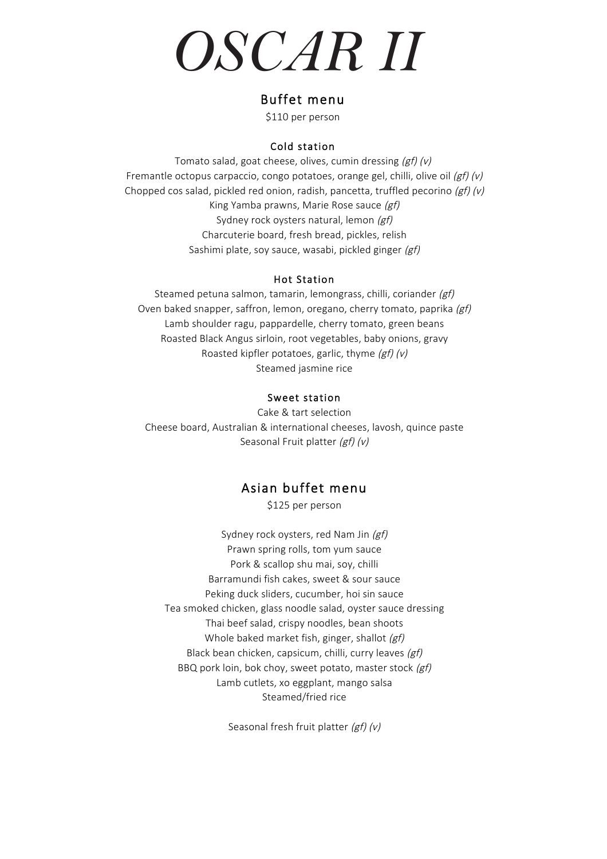# *OSCAR II*

## Buffet menu

\$110 per person

### Cold station

Tomato salad, goat cheese, olives, cumin dressing  $(gf)(v)$ Fremantle octopus carpaccio, congo potatoes, orange gel, chilli, olive oil  $(gf)(v)$ Chopped cos salad, pickled red onion, radish, pancetta, truffled pecorino  $(gf)(v)$ King Yamba prawns, Marie Rose sauce (gf) Sydney rock oysters natural, lemon (gf) Charcuterie board, fresh bread, pickles, relish Sashimi plate, soy sauce, wasabi, pickled ginger (gf)

#### Hot Station

Steamed petuna salmon, tamarin, lemongrass, chilli, coriander (gf) Oven baked snapper, saffron, lemon, oregano, cherry tomato, paprika (gf) Lamb shoulder ragu, pappardelle, cherry tomato, green beans Roasted Black Angus sirloin, root vegetables, baby onions, gravy Roasted kipfler potatoes, garlic, thyme  $(gf)(v)$ Steamed jasmine rice

### Sweet station

Cake & tart selection Cheese board, Australian & international cheeses, lavosh, quince paste Seasonal Fruit platter (gf) (v)

## Asian buffet menu

\$125 per person

Sydney rock oysters, red Nam Jin (gf) Prawn spring rolls, tom yum sauce Pork & scallop shu mai, soy, chilli Barramundi fish cakes, sweet & sour sauce Peking duck sliders, cucumber, hoi sin sauce Tea smoked chicken, glass noodle salad, oyster sauce dressing Thai beef salad, crispy noodles, bean shoots Whole baked market fish, ginger, shallot (gf) Black bean chicken, capsicum, chilli, curry leaves (gf) BBQ pork loin, bok choy, sweet potato, master stock (gf) Lamb cutlets, xo eggplant, mango salsa Steamed/fried rice

Seasonal fresh fruit platter (gf) (v)